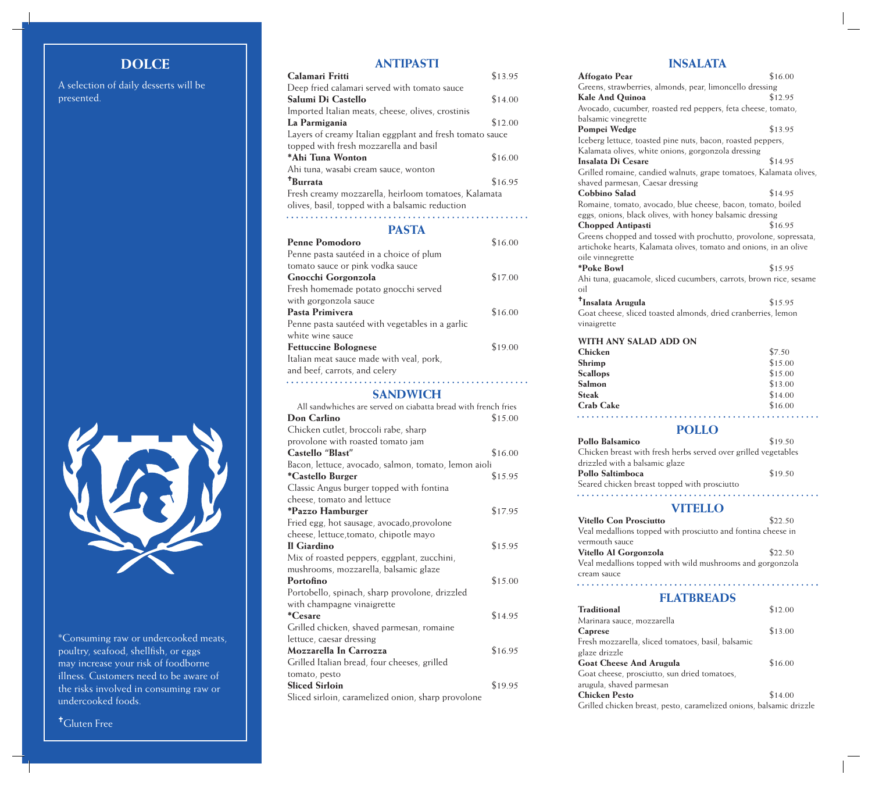# **DOLCE**

A selection of daily desserts will be presented.

#### **ANTIPASTI**

| Calamari Fritti                                                                                         | \$13.95 |
|---------------------------------------------------------------------------------------------------------|---------|
| Deep fried calamari served with tomato sauce                                                            |         |
| Salumi Di Castello                                                                                      | \$14.00 |
| Imported Italian meats, cheese, olives, crostinis                                                       |         |
| La Parmigania                                                                                           | \$12.00 |
| Layers of creamy Italian eggplant and fresh tomato sauce                                                |         |
| topped with fresh mozzarella and basil                                                                  |         |
| *Ahi Tuna Wonton                                                                                        | \$16.00 |
| Ahi tuna, wasabi cream sauce, wonton                                                                    |         |
| <sup>†</sup> Burrata                                                                                    | \$16.95 |
| Fresh creamy mozzarella, heirloom tomatoes, Kalamata<br>olives, basil, topped with a balsamic reduction |         |
|                                                                                                         |         |

#### **PASTA**

| <b>Penne Pomodoro</b>                           | \$16.00 |
|-------------------------------------------------|---------|
| Penne pasta sautéed in a choice of plum         |         |
| tomato sauce or pink vodka sauce                |         |
| Gnocchi Gorgonzola                              | \$17.00 |
| Fresh homemade potato gnocchi served            |         |
| with gorgonzola sauce                           |         |
| Pasta Primivera                                 | \$16.00 |
| Penne pasta sautéed with vegetables in a garlic |         |
| white wine sauce                                |         |
| <b>Fettuccine Bolognese</b>                     | \$19.00 |
| Italian meat sauce made with veal, pork,        |         |

and beef, carrots, and celery 

### **SANDWICH**

| All sandwhiches are served on ciabatta bread with french fries |         |
|----------------------------------------------------------------|---------|
| Don Carlino                                                    | \$15.00 |
| Chicken cutlet, broccoli rabe, sharp                           |         |
| provolone with roasted tomato jam                              |         |
| Castello "Blast"                                               | \$16.00 |
| Bacon, lettuce, avocado, salmon, tomato, lemon aioli           |         |
| *Castello Burger                                               | \$15.95 |
| Classic Angus burger topped with fontina                       |         |
| cheese, tomato and lettuce                                     |         |
| *Pazzo Hamburger                                               | \$17.95 |
| Fried egg, hot sausage, avocado, provolone                     |         |
| cheese, lettuce, tomato, chipotle mayo                         |         |
| Il Giardino                                                    | \$15.95 |
| Mix of roasted peppers, eggplant, zucchini,                    |         |
| mushrooms, mozzarella, balsamic glaze                          |         |
| Portofino                                                      | \$15.00 |
| Portobello, spinach, sharp provolone, drizzled                 |         |
| with champagne vinaigrette                                     |         |
| <i>*Cesare</i>                                                 | \$14.95 |
| Grilled chicken, shaved parmesan, romaine                      |         |
| lettuce, caesar dressing                                       |         |
| Mozzarella In Carrozza                                         | \$16.95 |
| Grilled Italian bread, four cheeses, grilled                   |         |
| tomato, pesto                                                  |         |
| <b>Sliced Sirloin</b>                                          | \$19.95 |
| Sliced sirloin, caramelized onion, sharp provolone             |         |

#### **INSALATA**

| Affogato Pear                                                             | \$16.00 |
|---------------------------------------------------------------------------|---------|
| Greens, strawberries, almonds, pear, limoncello dressing                  |         |
| <b>Kale And Quinoa</b>                                                    | \$12.95 |
| Avocado, cucumber, roasted red peppers, feta cheese, tomato,              |         |
| balsamic vinegrette                                                       |         |
| Pompei Wedge                                                              | \$13.95 |
| Iceberg lettuce, toasted pine nuts, bacon, roasted peppers,               |         |
| Kalamata olives, white onions, gorgonzola dressing                        |         |
| <b>Insalata Di Cesare</b>                                                 | \$14.95 |
| Grilled romaine, candied walnuts, grape tomatoes, Kalamata olives,        |         |
| shaved parmesan, Caesar dressing                                          |         |
| <b>Cobbino Salad</b>                                                      | \$14.95 |
| Romaine, tomato, avocado, blue cheese, bacon, tomato, boiled              |         |
| eggs, onions, black olives, with honey balsamic dressing                  |         |
| <b>Chopped Antipasti</b>                                                  | \$16.95 |
| Greens chopped and tossed with prochutto, provolone, sopressata,          |         |
| artichoke hearts, Kalamata olives, tomato and onions, in an olive         |         |
| oile vinnegrette                                                          |         |
| *Poke Bowl                                                                | \$15.95 |
|                                                                           |         |
| Ahi tuna, guacamole, sliced cucumbers, carrots, brown rice, sesame<br>oil |         |
|                                                                           |         |
| <sup>†</sup> Insalata Arugula                                             | \$15.95 |
| Goat cheese, sliced toasted almonds, dried cranberries, lemon             |         |
| vinaigrette                                                               |         |
| WITH ANY SALAD ADD ON                                                     |         |
| <b>Chicken</b>                                                            | \$7.50  |
| Shrimp                                                                    | \$15.00 |
| <b>Scallops</b>                                                           | \$15.00 |
| Salmon                                                                    | \$13.00 |
| <b>Steak</b>                                                              | \$14.00 |
| <b>Crab Cake</b>                                                          | \$16.00 |
|                                                                           |         |
|                                                                           |         |
| Pollo Balsamico                                                           | \$19.50 |
| Chicken breast with fresh herbs served over grilled vegetables            |         |
| drizzled with a balsamic glaze                                            |         |
| Pollo Saltimboca                                                          | \$19.50 |
| Seared chicken breast topped with prosciutto                              |         |
|                                                                           |         |
| VITELLO                                                                   |         |
| <b>Vitello Con Prosciutto</b>                                             | \$22.50 |
| Veal medallions topped with prosciutto and fontina cheese in              |         |
| vermouth sauce                                                            |         |
|                                                                           |         |
| Vitello Al Gorgonzola                                                     | \$22.50 |
| Veal medallions topped with wild mushrooms and gorgonzola                 |         |
| cream sauce                                                               |         |
|                                                                           |         |
| <b>FLATBREADS</b>                                                         |         |
| <b>Traditional</b>                                                        | \$12.00 |
| Marinara sauce, mozzarella                                                |         |
| Caprese                                                                   | \$13.00 |
| Fresh mozzarella, sliced tomatoes, basil, balsamic                        |         |
|                                                                           |         |
| glaze drizzle                                                             |         |
| <b>Goat Cheese And Arugula</b>                                            | \$16.00 |
| Goat cheese, prosciutto, sun dried tomatoes,                              |         |
| arugula, shaved parmesan                                                  |         |

Grilled chicken breast, pesto, caramelized onions, balsamic drizzle



\*Consuming raw or undercooked meats, poultry, seafood, shellfish, or eggs may increase your risk of foodborne illness. Customers need to be aware of the risks involved in consuming raw or undercooked foods.

Gluten Free